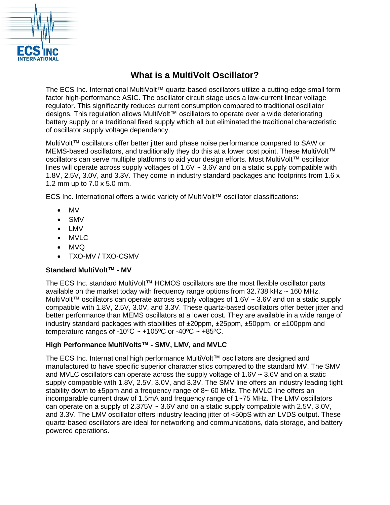

# **What is a MultiVolt Oscillator?**

The ECS Inc. International MultiVolt™ quartz-based oscillators utilize a cutting-edge small form factor high-performance ASIC. The oscillator circuit stage uses a low-current linear voltage regulator. This significantly reduces current consumption compared to traditional oscillator designs. This regulation allows MultiVolt™ oscillators to operate over a wide deteriorating battery supply or a traditional fixed supply which all but eliminated the traditional characteristic of oscillator supply voltage dependency.

MultiVolt™ oscillators offer better jitter and phase noise performance compared to SAW or MEMS-based oscillators, and traditionally they do this at a lower cost point. These MultiVolt™ oscillators can serve multiple platforms to aid your design efforts. Most MultiVolt™ oscillator lines will operate across supply voltages of  $1.6V \sim 3.6V$  and on a static supply compatible with 1.8V, 2.5V, 3.0V, and 3.3V. They come in industry standard packages and footprints from 1.6 x 1.2 mm up to 7.0 x 5.0 mm.

ECS Inc. International offers a wide variety of MultiVolt™ oscillator classifications:

- MV
- SMV
- LMV
- MVLC
- MVQ
- TXO-MV / TXO-CSMV

## **Standard MultiVolt™ - MV**

The ECS Inc. standard MultiVolt™ HCMOS oscillators are the most flexible oscillator parts available on the market today with frequency range options from  $32.738$  kHz  $\sim$  160 MHz. MultiVolt™ oscillators can operate across supply voltages of 1.6V ~ 3.6V and on a static supply compatible with 1.8V, 2.5V, 3.0V, and 3.3V. These quartz-based oscillators offer better jitter and better performance than MEMS oscillators at a lower cost. They are available in a wide range of industry standard packages with stabilities of  $\pm 20$ ppm,  $\pm 25$ ppm,  $\pm 50$ ppm, or  $\pm 100$ ppm and temperature ranges of -10 $\degree$ C ~ +105 $\degree$ C or -40 $\degree$ C ~ +85 $\degree$ C.

## **High Performance MultiVolts™ - SMV, LMV, and MVLC**

The ECS Inc. International high performance MultiVolt™ oscillators are designed and manufactured to have specific superior characteristics compared to the standard MV. The SMV and MVLC oscillators can operate across the supply voltage of  $1.6V \sim 3.6V$  and on a static supply compatible with 1.8V, 2.5V, 3.0V, and 3.3V. The SMV line offers an industry leading tight stability down to ±5ppm and a frequency range of 8~ 60 MHz. The MVLC line offers an incomparable current draw of 1.5mA and frequency range of 1~75 MHz. The LMV oscillators can operate on a supply of 2.375V ~ 3.6V and on a static supply compatible with 2.5V, 3.0V, and 3.3V. The LMV oscillator offers industry leading jitter of <50pS with an LVDS output. These quartz-based oscillators are ideal for networking and communications, data storage, and battery powered operations.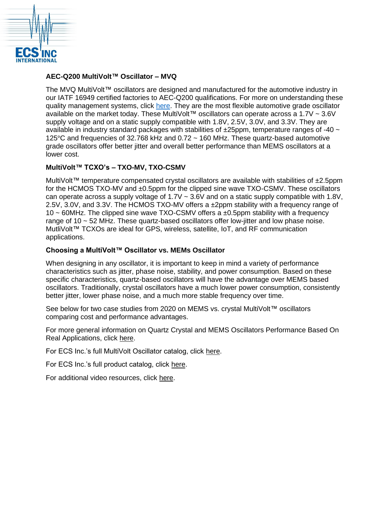

#### **AEC-Q200 MultiVolt™ Oscillator – MVQ**

The MVQ MultiVolt™ oscillators are designed and manufactured for the automotive industry in our IATF 16949 certified factories to AEC-Q200 qualifications. For more on understanding these quality management systems, click [here.](https://ecsxtal.com/understanding-iatf-16949-and-aec-q200-quality-management-systems) They are the most flexible automotive grade oscillator available on the market today. These MultiVolt™ oscillators can operate across a 1.7V ~ 3.6V supply voltage and on a static supply compatible with 1.8V, 2.5V, 3.0V, and 3.3V. They are available in industry standard packages with stabilities of  $\pm 25$ ppm, temperature ranges of -40  $\sim$ 125°C and frequencies of 32.768 kHz and 0.72 ~ 160 MHz. These quartz-based automotive grade oscillators offer better jitter and overall better performance than MEMS oscillators at a lower cost.

#### **MultiVolt™ TCXO's – TXO-MV, TXO-CSMV**

MultiVolt™ temperature compensated crystal oscillators are available with stabilities of ±2.5ppm for the HCMOS TXO-MV and ±0.5ppm for the clipped sine wave TXO-CSMV. These oscillators can operate across a supply voltage of 1.7V ~ 3.6V and on a static supply compatible with 1.8V, 2.5V, 3.0V, and 3.3V. The HCMOS TXO-MV offers a ±2ppm stability with a frequency range of 10  $\sim$  60MHz. The clipped sine wave TXO-CSMV offers a  $\pm$ 0.5ppm stability with a frequency range of 10 ~ 52 MHz. These quartz-based oscillators offer low-jitter and low phase noise. MutliVolt™ TCXOs are ideal for GPS, wireless, satellite, IoT, and RF communication applications.

#### **Choosing a MultiVolt™ Oscillator vs. MEMs Oscillator**

When designing in any oscillator, it is important to keep in mind a variety of performance characteristics such as jitter, phase noise, stability, and power consumption. Based on these specific characteristics, quartz-based oscillators will have the advantage over MEMS based oscillators. Traditionally, crystal oscillators have a much lower power consumption, consistently better jitter, lower phase noise, and a much more stable frequency over time.

See below for two case studies from 2020 on MEMS vs. crystal MultiVolt™ oscillators comparing cost and performance advantages.

For more general information on Quartz Crystal and MEMS Oscillators Performance Based On Real Applications, click [here.](https://ecsxtal.com/quartz-crystal-and-mems-oscillators-performance)

For ECS Inc.'s full MultiVolt Oscillator catalog, click [here.](https://ecsxtal.com/electronic-component-frequency-control-products/oscillators/multivolt-oscillators)

For ECS Inc.'s full product catalog, click [here.](https://ecsxtal.com/store/pdf/ECS_Catalog.pdf)

For additional video resources, click [here.](https://ecsxtal.com/news-resources/video-learning)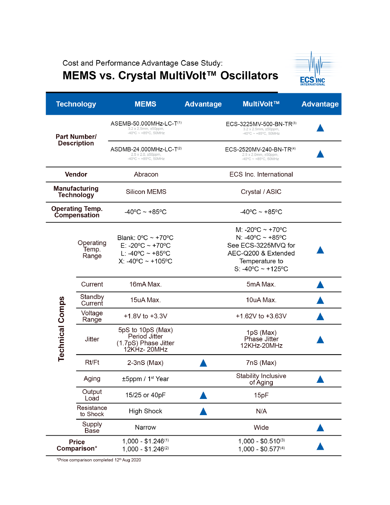Cost and Performance Advantage Case Study:

# MEMS vs. Crystal MultiVolt™ Oscillators



| <b>Technology</b>                         |                             | <b>MEMS</b>                                                                                                          | <b>Advantage</b> | MultiVolt™                                                                                                                                                                              | <b>Advantage</b> |
|-------------------------------------------|-----------------------------|----------------------------------------------------------------------------------------------------------------------|------------------|-----------------------------------------------------------------------------------------------------------------------------------------------------------------------------------------|------------------|
| <b>Part Number/</b><br><b>Description</b> |                             | ASEMB-50.000MHz-LC-T(1)<br>3.2 x 2.5mm, ±50ppm,<br>$-40^{\circ}$ C ~ +85°C, 50MHz                                    |                  | ECS-3225MV-500-BN-TR(3)<br>3.2 x 2.5mm, ±50ppm,<br>$-40^{\circ}$ C ~ +85 $^{\circ}$ C, 50MHz                                                                                            |                  |
|                                           |                             | ASDMB-24.000MHz-LC-T(2)<br>2.5 x 2.0, ±50ppm,<br>$-40^{\circ}$ C ~ +85 $^{\circ}$ C, 50MHz                           |                  | ECS-2520MV-240-BN-TR(4)<br>2.5 x 2.0mm, ±50ppm,<br>$-40^{\circ}$ C ~ +85°C, 50MHz                                                                                                       |                  |
| Vendor                                    |                             | Abracon                                                                                                              |                  | <b>ECS Inc. International</b>                                                                                                                                                           |                  |
| <b>Manufacturing</b><br><b>Technology</b> |                             | <b>Silicon MEMS</b>                                                                                                  |                  | Crystal / ASIC                                                                                                                                                                          |                  |
| <b>Operating Temp.</b><br>Compensation    |                             | $-40^{\circ}$ C ~ +85 $^{\circ}$ C                                                                                   |                  | $-40^{\circ}$ C ~ +85°C                                                                                                                                                                 |                  |
| <b>Technical Comps</b>                    | Operating<br>Temp.<br>Range | Blank: $0^{\circ}$ C ~ +70 $^{\circ}$ C<br>E: -20°C ~ +70°C<br>L: -40°C ~ +85°C<br>$X: -40\degree C - +105\degree C$ |                  | M: -20 $\rm{^{\circ}C} \sim +70\rm{^{\circ}C}$<br>N: $-40^{\circ}$ C ~ +85°C<br>See ECS-3225MVQ for<br>AEC-Q200 & Extended<br>Temperature to<br>S: -40 $^{\circ}$ C ~ +125 $^{\circ}$ C |                  |
|                                           | Current                     | 16mA Max.                                                                                                            |                  | 5mA Max.                                                                                                                                                                                |                  |
|                                           | Standby<br>Current          | 15uA Max.                                                                                                            |                  | 10uA Max.                                                                                                                                                                               |                  |
|                                           | Voltage<br>Range            | +1.8V to +3.3V                                                                                                       |                  | $+1.62V$ to $+3.63V$                                                                                                                                                                    |                  |
|                                           | <b>Jitter</b>               | 5pS to 10pS (Max)<br>Period Jitter<br>(1.7pS) Phase Jitter<br>12KHz-20MHz                                            |                  | 1pS (Max)<br>Phase Jitter<br>12KHz-20MHz                                                                                                                                                |                  |
|                                           | Rt/Ft                       | $2-3nS$ (Max)                                                                                                        |                  | 7nS (Max)                                                                                                                                                                               |                  |
|                                           | Aging                       | ±5ppm / 1 <sup>st</sup> Year                                                                                         |                  | <b>Stability Inclusive</b><br>of Aging                                                                                                                                                  |                  |
|                                           | Output<br>Load              | 15/25 or 40pF                                                                                                        |                  | 15pF                                                                                                                                                                                    |                  |
|                                           | Resistance<br>to Shock      | <b>High Shock</b>                                                                                                    |                  | N/A                                                                                                                                                                                     |                  |
|                                           | Supply<br>Base              | Narrow                                                                                                               |                  | Wide                                                                                                                                                                                    |                  |
| <b>Price</b><br>Comparison*               |                             | $1,000 - $1.246^{(1)}$<br>$1,000 - $1.246^{(2)}$                                                                     |                  | $1,000 - $0.510^{(3)}$<br>$1,000 - $0.577^{(4)}$                                                                                                                                        |                  |

\*Price comparison completed 12<sup>th</sup> Aug 2020